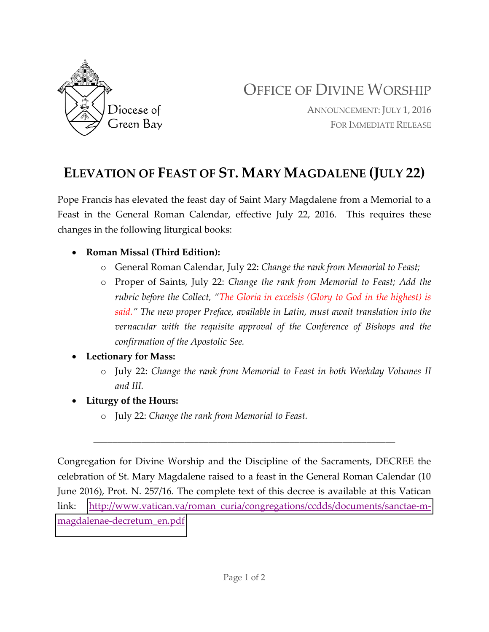

OFFICE OF DIVINE WORSHIP

ANNOUNCEMENT: JULY 1, 2016 FOR IMMEDIATE RELEASE

## **ELEVATION OF FEAST OF ST. MARY MAGDALENE (JULY 22)**

Pope Francis has elevated the feast day of Saint Mary Magdalene from a Memorial to a Feast in the General Roman Calendar, effective July 22, 2016. This requires these changes in the following liturgical books:

## x **Roman Missal (Third Edition):**

- o General Roman Calendar, July 22: *Change the rank from Memorial to Feast;*
- o Proper of Saints, July 22: *Change the rank from Memorial to Feast; Add the rubric before the Collect, "The Gloria in excelsis (Glory to God in the highest) is said." The new proper Preface, available in Latin, must await translation into the vernacular with the requisite approval of the Conference of Bishops and the confirmation of the Apostolic See.*

## **Lectionary for Mass:**

- o July 22: *Change the rank from Memorial to Feast in both Weekday Volumes II and III.*
- **Liturgy of the Hours:** 
	- o July 22: *Change the rank from Memorial to Feast.*

Congregation for Divine Worship and the Discipline of the Sacraments, DECREE the celebration of St. Mary Magdalene raised to a feast in the General Roman Calendar (10 June 2016), Prot. N. 257/16. The complete text of this decree is available at this Vatican link: [http://www.vatican.va/roman\\_curia/congregations/ccdds/documents/sanctae-m](http://www.vatican.va/roman_curia/congregations/ccdds/documents/sanctae-m-magdalenae-decretum_en.pdf)[magdalenae-decretum\\_en.pdf](http://www.vatican.va/roman_curia/congregations/ccdds/documents/sanctae-m-magdalenae-decretum_en.pdf)

\_\_\_\_\_\_\_\_\_\_\_\_\_\_\_\_\_\_\_\_\_\_\_\_\_\_\_\_\_\_\_\_\_\_\_\_\_\_\_\_\_\_\_\_\_\_\_\_\_\_\_\_\_\_\_\_\_\_\_\_\_\_\_